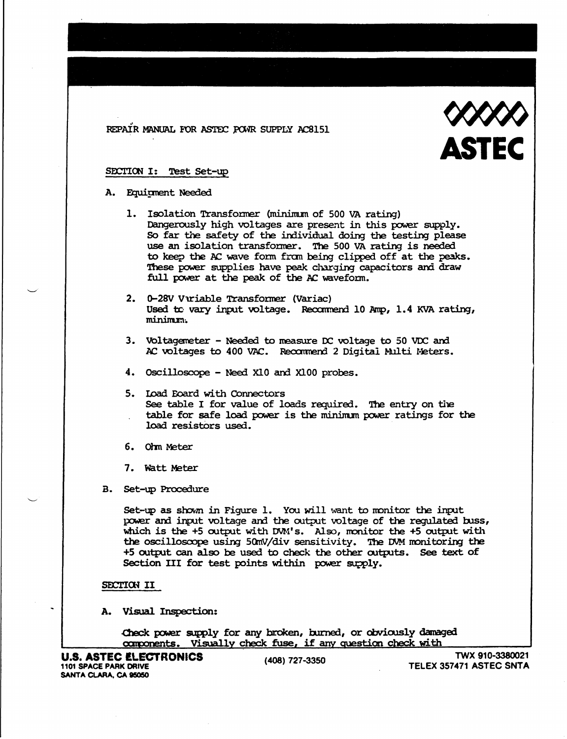REPAIR MANUAL FOR ASTEC POWR SUPPLY AC8151



### SECTION I: Test Set-up

#### A. Equirment Needed

- 1. Isolation Transformer (minimum of 500 VA rating) Dangerously high voltages are present in this power supply. So far the safety of the individual doing the testing please use an isolation transformer. The 500 VA rating is needed to keep the AC wave form from being clipped off at the peaks. These power supplies have peak charging capacitors and draw full power at the peak of the AC waveform.
- 2. 0-28V Vuriable Transformer (Variac) Used to vary input voltage. Recommend 10 Amp, 1.4 KVA rating, minimm.
- 3. Voltagemeter Needed to measure DC voltage to 50 VDC and AC voltages to 400 VAC. Recommend 2 Digital Multi Meters.
- 4. Oscilloscope Need X10 and X100 probes.
- 5. Load Eoard with Connectors See table I for value of loads required. The entry on the table for safe load power is the minimum power ratings for the load resistors used.
- 6. Ohm Meter
- 7. Watt Meter
- B. Set-up Procedure

Set-up as shown in Figure 1. You will want to monitor the input power and input voltage and the output voltage of the regulated buss, which is the +5 output with DVM's. Also, monitor the +5 output with the oscilloscope using 50mV/div sensitivity. The DVM monitoring the +5 output can also be used to check the other outputs. See text of Section III for test points within power supply.

#### SECTION II

A. Visual Inspection:

Check power supply for any broken, burned, or obviously damaged components. Visually check fuse, if any question check with

(408) 727-3350

TWX 910-3380021 TELEX 357471 ASTEC SNTA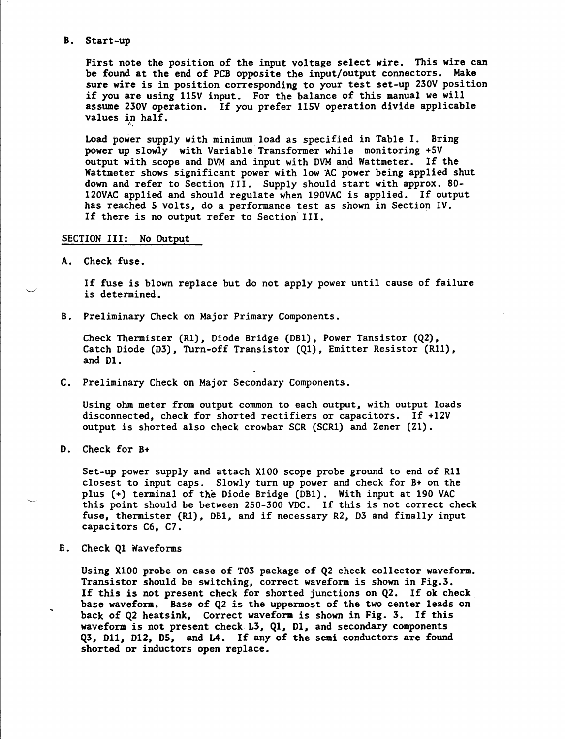#### B. Start-up

First note the position of the input voltage select wire. This wire can be found at the end of PCB opposite the input/output connectors. Make sure wire is in position corresponding to your test set-up 230V position if you are using l15V input. For the balance of this manual we will assume 230V operation. If *you* prefer 11SV operation divide applicable values in half. ".

Load power supply with minimum load as specified in Table I. Bring power up slowly with Variable Transformer while monitoring +SV output with scope and DVM and input with DVM and Wattmeter. If the Wattmeter shows significant power with low AC power being applied shut down and refer to Section III. Supply should start with approx. 80 l20VAC applied and should regulate when 190VAC is applied. If output has reached 5 volts, do a performance test as shown in Section IV. If there is no output refer to Section III.

## SECTION III: No Output

A. Check fuse.

If fuse is blown replace but do not apply power until cause of failure is determined.

B. Preliminary Check on Major Primary Components.

Check Thermister (R1), Diode Bridge (DB1), Power Tansistor (Q2), Catch Diode (D3), Turn-off Transistor (Q1), Emitter Resistor (R11), and D1.

C. Preliminary Check on Major Secondary Components.

Using ohm meter from output common to each output, with output loads disconnected, check for shorted rectifiers or capacitors. If +12V output is shorted also check crowbar SCR (SCRl) and Zener (Zl).

D. Check for B+

Set-up power supply and attach XIOO scope probe ground to end of Rll closest to input caps. Slowly turn up power and check for B+ on the plus (+) terminal of the Diode Bridge (OBI). With input at 190 VAC this point should be between 250-300 VOC. If this is not correct check fuse, thermister (R1), DB1, and if necessary R2, D3 and finally input capacitors C6, C7.

E. Check Ql Waveforms

Using XI00 probe on case of T03 package of Q2 check collector waveform. Transistor should be switching, correct waveform is shown in Fig.3. If this is not present check for shorted junctions on Q2. If ok check base waveform. Base of Q2 is the uppermost of the two center leads on back of Q2 heatsink, Correct waveform is shown in Fig. 3. If this waveform is not present check. L3, Ql, Dl, and secondary components Q3, D11, D12, D5, and L4. If any of the semi conductors are found shorted or inductors open replace.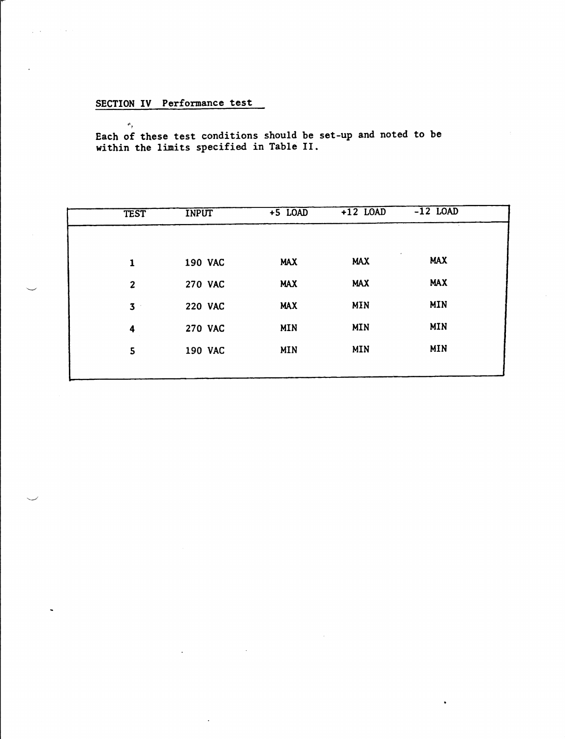# SECTION IV Performance test

program contracto

 $\theta_{\rm g}$ Each of these test conditions should be set-up and noted to be within the limits specified in Table II.

| <b>TEST</b>         | <b>INPUT</b>   | $+5$ LOAD  | $+12$ LOAD | $-12$ LOAD              |  |
|---------------------|----------------|------------|------------|-------------------------|--|
|                     |                |            |            |                         |  |
| $\mathbf{1}$        | <b>190 VAC</b> | <b>MAX</b> | <b>MAX</b> | $\bullet$<br><b>MAX</b> |  |
| $\overline{2}$      | <b>270 VAC</b> | <b>MAX</b> | <b>MAX</b> | <b>MAX</b>              |  |
| 3 <sup>1</sup>      | <b>220 VAC</b> | <b>MAX</b> | <b>MIN</b> | <b>MIN</b>              |  |
| $\ddot{\mathbf{4}}$ | <b>270 VAC</b> | <b>MIN</b> | <b>MIN</b> | <b>MIN</b>              |  |
| 5                   | <b>190 VAC</b> | <b>MIN</b> | <b>MIN</b> | <b>MIN</b>              |  |
|                     |                |            |            |                         |  |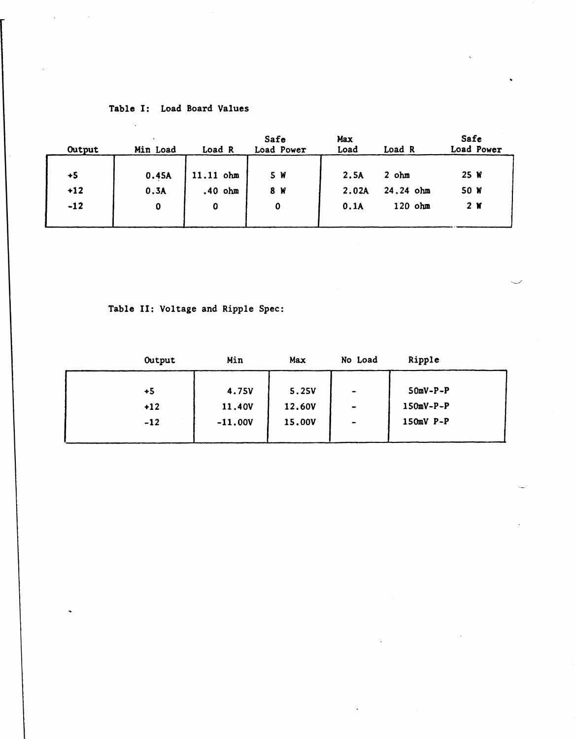# Table I: Load Board Values

 $\sim \alpha_{\rm s}$ 

 $\ddot{\phantom{a}}$ 

 $\sim$ 

| Output | Min Load | Load R      | Safe<br>Load Power | Max<br>Load | Load R      | Safe<br>Load Power |
|--------|----------|-------------|--------------------|-------------|-------------|--------------------|
| $+5$   | 0.45A    | 11.11 ohm   | 5 W                | 2.5A        | $2$ ohm     | 25 W               |
| $+12$  | 0.3A     | $.40$ ohm   | 8 W                | 2.02A       | $24.24$ ohm | 50 W               |
| $-12$  | 0        | $\mathbf 0$ | $\mathbf 0$        | 0.1A        | $120$ ohm   | 2 W                |
|        |          |             |                    |             |             |                    |

Table II: Voltage and Ripple Spec:

| Output | Min       | Max          | No Load           | Ripple      |  |
|--------|-----------|--------------|-------------------|-------------|--|
|        |           |              |                   |             |  |
| $+5$   | 4.75V     | <b>5.25V</b> | $\blacksquare$    | $50mV-P-P$  |  |
| $+12$  | 11.40V    | 12.60V       | $\qquad \qquad$   | $150mV-P-P$ |  |
| $-12$  | $-11.00V$ | 15.00V       | $\hbox{\small -}$ | $150mV$ P-P |  |
|        |           |              |                   |             |  |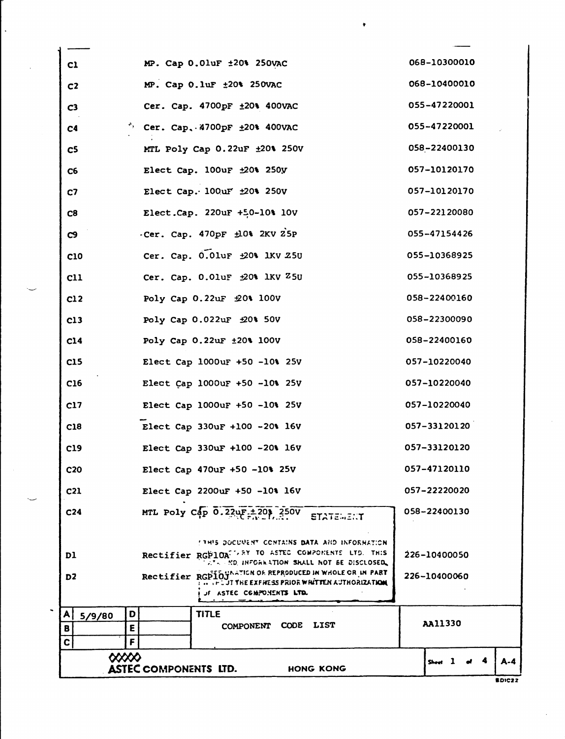|                            | <b>ASTEC COMPONENTS LTD.</b><br>HONG KONG                                                                                               |              | <b>BDIC22</b> |
|----------------------------|-----------------------------------------------------------------------------------------------------------------------------------------|--------------|---------------|
| $\infty$                   |                                                                                                                                         | Sheet 1 of 4 | $A - 4$       |
| B<br>E<br>$\mathbf c$<br>F |                                                                                                                                         |              |               |
| D<br>A<br>5/9/80           | <b>TITLE</b><br>COMPONENT CODE LIST                                                                                                     | AA11330      |               |
| D2.                        | Rectifier RGPIOJA ATION OF REPRODUCED IN WHOLE OR IN PART<br>.FLUT THE EXFIRESS PRIOR WHITTEN AUTHORIZATION<br>JE ASTEC CGMPONENTS LTD. | 226-10400060 |               |
|                            | AT  NO. INFORMATION SHALL NOT BE DISCLOSED.                                                                                             |              |               |
| DI                         | <b>ITHIS DOCURENT CONTAINS DATA AND INFORMATION</b><br>Rectifier RGP10A <sup>11,8Y</sup> TO ASTEC COMPONENTS LTD. THIS                  | 226-10400050 |               |
| C <sub>24</sub>            | MTL Poly Cap $0.22 \mu F + 20$ $250V$<br><b>STATEWENT</b>                                                                               | 058-22400130 |               |
| C <sub>21</sub>            | Elect Cap 2200uF +50 -10% 16V                                                                                                           | 057-22220020 |               |
| C <sub>20</sub>            | Elect Cap 470uF +50 -10% 25V                                                                                                            | 057-47120110 |               |
| C19                        | Elect Cap 330uF +100 -20% 16V                                                                                                           | 057-33120120 |               |
| C18                        | Elect Cap 330uF +100 -20% 16V                                                                                                           | 057-33120120 |               |
| C17                        | Elect Cap 1000uF +50 -10% 25V                                                                                                           | 057-10220040 |               |
| C <sub>16</sub>            | Elect Cap 1000uF +50 -10% 25V                                                                                                           | 057-10220040 |               |
| C15                        | Elect Cap 1000uF +50 -10% 25V                                                                                                           | 057-10220040 |               |
| C14                        | Poly Cap 0.22uF ±20% 100V                                                                                                               | 058-22400160 |               |
| C13                        | Poly Cap 0.022uF ±20% 50V                                                                                                               | 058-22300090 |               |
| C12                        | Poly Cap 0.22uF £0% 100V                                                                                                                | 058-22400160 |               |
| c11                        | Cer. Cap. 0.0luF ±20% 1KV Z5U                                                                                                           | 055-10368925 |               |
| C10                        | Cer. Cap. 0.01uF ±20% 1KV Z5U                                                                                                           | 055-10368925 |               |
| C <sub>9</sub>             | -Cer. Cap. 470pF ±0% 2KV 25P                                                                                                            | 055-47154426 |               |
| C8                         | Elect.Cap. 220uF +50-10% 10V                                                                                                            | 057-22120080 |               |
| C <sub>2</sub>             | Elect Cap. 100uF ±20% 250V                                                                                                              | 057-10120170 |               |
| C6                         | Elect Cap. 100uF ±20% 250y                                                                                                              | 057-10120170 |               |
| C <sub>5</sub>             | MTL Poly Cap 0.22uF ±20% 250V                                                                                                           | 058-22400130 |               |
| C <sub>4</sub>             | $^{\prime\prime}$ Cer. Cap. 4700pF $\pm 20$ * 400VAC                                                                                    | 055-47220001 |               |
| C <sub>3</sub>             | Cer. Cap. 4700pF ±20% 400VAC                                                                                                            | 055-47220001 |               |
| C <sub>2</sub>             | MP. Cap 0.1uF ±20% 250VAC                                                                                                               | 068-10400010 |               |
| c1                         | MP. Cap 0.0luF ±20% 250VAC                                                                                                              | 068-10300010 |               |

t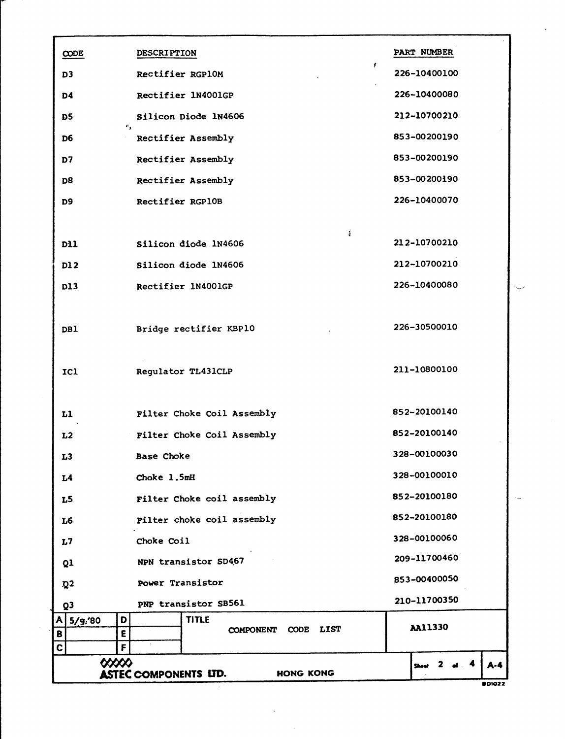| CODE             | <b>DESCRIPTION</b>                               | PART NUMBER                              |
|------------------|--------------------------------------------------|------------------------------------------|
| D <sub>3</sub>   | ŧ.<br>Rectifier RGP10M                           | 226-10400100                             |
| D4               | Rectifier 1N4001GP                               | 226-10400080                             |
| D5               | Silicon Diode 1N4606                             | 212-10700210                             |
| D6               | ۰.<br>Rectifier Assembly                         | 853-00200190                             |
| D7               | Rectifier Assembly                               | 853-00200190                             |
| D <sub>8</sub>   | Rectifier Assembly                               | 853-00200190                             |
| D <sub>9</sub>   | Rectifier RGP10B                                 | 226-10400070                             |
|                  |                                                  |                                          |
| D11              | ÷<br>Silicon diode 1N4606                        | 212-10700210                             |
| D12              | Silicon diode 1N4606                             | 212-10700210                             |
| <b>D13</b>       | Rectifier 1N4001GP                               | 226-10400080                             |
|                  |                                                  |                                          |
| DB1              | Bridge rectifier KBP10                           | 226-30500010                             |
|                  |                                                  |                                          |
| ICI              | Regulator TL431CLP                               | 211-10800100                             |
|                  |                                                  |                                          |
| L1               | Filter Choke Coil Assembly                       | 852-20100140                             |
| L2               | Filter Choke Coil Assembly                       | 852-20100140                             |
| L <sub>3</sub>   | Base Choke                                       | <b>328-00100030</b>                      |
| L <sub>4</sub>   | Choke 1.5mH                                      | 328-00100010                             |
| L5               | Filter Choke coil assembly                       | 852-20100180                             |
| L6               | Filter choke coil assembly                       | 852-20100180                             |
| L7               | Choke Coil                                       | 328-00100060                             |
| Q1               | NPN transistor SD467                             | 209-11700460                             |
| $\mathbf{Q}^2$   | Power Transistor                                 | 853-00400050                             |
| Q <sub>3</sub>   | PNP transistor SB561                             | 210-11700350                             |
| A<br>5/g/20<br>B | <b>TITLE</b><br>D<br>CODE LIST<br>COMPONENT<br>E | <b>AA11330</b>                           |
| C                | F                                                |                                          |
|                  | $\infty$                                         | 4<br>$A - 4$<br><b>2</b><br><b>Sheet</b> |
|                  | <b>ASTEC COMPONENTS LTD.</b><br>HONG KONG        |                                          |

**BDI022**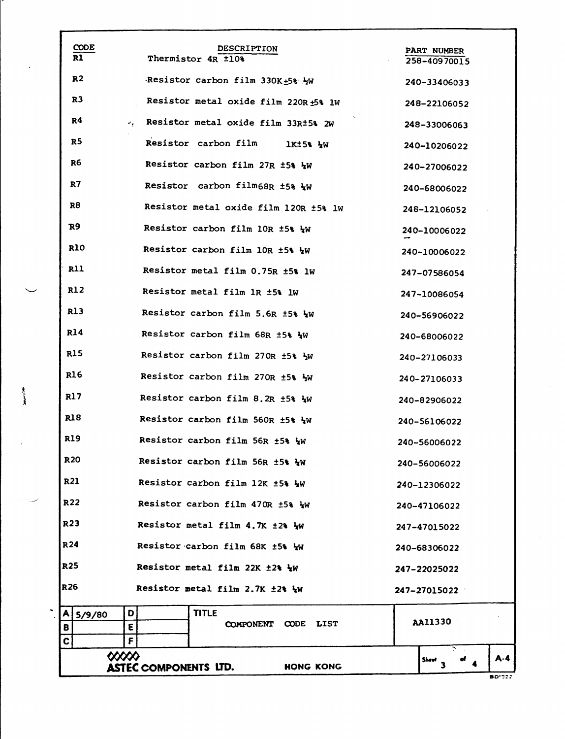|                 | <b>CODE</b>     |                              | <b>DESCRIPTION</b>                    |                                       | PART NUMBER        |               |
|-----------------|-----------------|------------------------------|---------------------------------------|---------------------------------------|--------------------|---------------|
|                 | R1              |                              | Thermistor 4R ±10%                    |                                       | 258-40970015       |               |
|                 | R2              |                              | Resistor carbon film 330K+5% YW       |                                       | 240-33406033       |               |
|                 | R3              |                              |                                       | Resistor metal oxide film 220R +5% lW | 248-22106052       |               |
|                 | R4              |                              | Resistor metal oxide film 33R±5% 2W   |                                       | 248-33006063       |               |
|                 | R <sub>5</sub>  |                              | <b>Resistor carbon film</b>           | 1K±5% 4W                              | 240-10206022       |               |
|                 | R6              |                              | Resistor carbon film 27R ±5% 4W       |                                       | 240-27006022       |               |
|                 | R7              |                              | Resistor carbon film68R ±5% Ww        |                                       | 240-68006022       |               |
|                 | R8              |                              | Resistor metal oxide film 120R ±5% lw |                                       | 248-12106052       |               |
|                 | R9              |                              | Resistor carbon film 10R ±5% 4W       |                                       | 240-10006022       |               |
|                 | R10             |                              | Resistor carbon film 10R ±5% 4W       |                                       | 240-10006022       |               |
|                 | <b>R11</b>      |                              | Resistor metal film 0.75R ±5% lW      |                                       | 247-07586054       |               |
|                 | R12             |                              | Resistor metal film 1R ±5% lw         |                                       | 247-10086054       |               |
|                 | R13             |                              | Resistor carbon film 5.6R ±5% 4W      |                                       | 240-56906022       |               |
|                 | R14             |                              | Resistor carbon film 68R ±5% WW       |                                       | 240-68006022       |               |
|                 | <b>R15</b>      |                              | Resistor carbon film 270R ±5% }W      |                                       | 240-27106033       |               |
|                 | R <sub>16</sub> |                              | Resistor carbon film 270R ±5% }W      |                                       | 240-27106033       |               |
|                 | R17             |                              | Resistor carbon film 8.2R ±5% WW      |                                       | 240-82906022       |               |
|                 | R18             |                              | Resistor carbon film 560R ±5% W       |                                       | 240-56106022       |               |
|                 | <b>R19</b>      |                              | Resistor carbon film 56R ±5% WW       |                                       | 240-56006022       |               |
|                 | <b>R20</b>      |                              | Resistor carbon film 56R ±5% WW       |                                       | 240–56006022       |               |
| <b>R21</b>      |                 |                              | Resistor carbon film 12K ±5% 4W       |                                       | 240-12306022       |               |
| R22             |                 |                              | Resistor carbon film 470R ±5% Ww      |                                       | 240-47106022       |               |
| R23             |                 |                              | Resistor metal film 4.7K ±2% WW       |                                       | 247-47015022       |               |
| R <sub>24</sub> |                 |                              | Resistor carbon film 68K ±5% Ww       |                                       | 240-68306022       |               |
| R <sub>25</sub> |                 |                              | Resistor metal film 22K ±2% }W        |                                       | 247–22025022       |               |
| R <sub>26</sub> |                 |                              | Resistor metal film 2.7K ±2% 4W       |                                       | 247-27015022       |               |
| A               | 5/9/80          | D                            | <b>TITLE</b>                          |                                       | <b>AA11330</b>     |               |
| B<br>C          |                 | E<br>F                       | <b>COMPONENT</b>                      | <b>CODE</b><br><b>LIST</b>            |                    |               |
|                 | ∞∞              | <b>ASTEC COMPONENTS LTD.</b> |                                       | <b>HONG KONG</b>                      | Sheet <sub>3</sub> | A-4           |
|                 |                 |                              |                                       |                                       |                    | <b>BD'022</b> |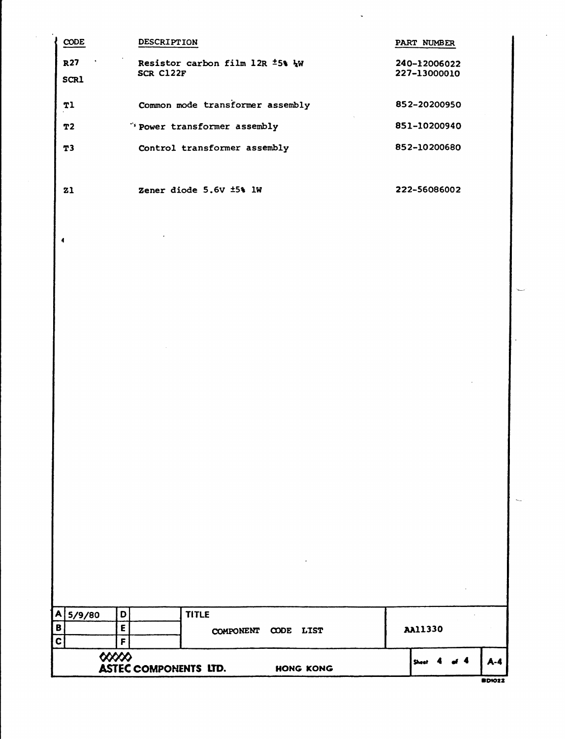| R <sub>27</sub><br>Resistor carbon film 12R ±5% WW<br>240-12006022<br>SCR C122F<br>227-13000010<br><b>SCR1</b><br>Common mode transformer assembly<br>852-20200950<br>T1<br>"'Power transformer assembly<br>851-10200940<br>T2<br>Control transformer assembly<br>852-10200680<br>T3<br>Zener diode 5.6V ±5% lW<br>222-56086002<br>Z <sub>1</sub><br>4<br><b>TITLE</b><br>$\blacktriangle$<br>5/9/80<br>D<br>B<br>$\mathsf E$<br><b>AA11330</b><br>COMPONENT CODE LIST<br>$\mathbf c$<br>F<br>$\infty$<br>$A-4$<br><b>Sheet</b><br><b>ASTEC COMPONENTS LTD.</b><br>HONG KONG | CODE | DESCRIPTION | PART NUMBER |  |
|------------------------------------------------------------------------------------------------------------------------------------------------------------------------------------------------------------------------------------------------------------------------------------------------------------------------------------------------------------------------------------------------------------------------------------------------------------------------------------------------------------------------------------------------------------------------------|------|-------------|-------------|--|
|                                                                                                                                                                                                                                                                                                                                                                                                                                                                                                                                                                              |      |             |             |  |
|                                                                                                                                                                                                                                                                                                                                                                                                                                                                                                                                                                              |      |             |             |  |
|                                                                                                                                                                                                                                                                                                                                                                                                                                                                                                                                                                              |      |             |             |  |
|                                                                                                                                                                                                                                                                                                                                                                                                                                                                                                                                                                              |      |             |             |  |
|                                                                                                                                                                                                                                                                                                                                                                                                                                                                                                                                                                              |      |             |             |  |
|                                                                                                                                                                                                                                                                                                                                                                                                                                                                                                                                                                              |      |             |             |  |
|                                                                                                                                                                                                                                                                                                                                                                                                                                                                                                                                                                              |      |             |             |  |
|                                                                                                                                                                                                                                                                                                                                                                                                                                                                                                                                                                              |      |             |             |  |
|                                                                                                                                                                                                                                                                                                                                                                                                                                                                                                                                                                              |      |             |             |  |
|                                                                                                                                                                                                                                                                                                                                                                                                                                                                                                                                                                              |      |             |             |  |
|                                                                                                                                                                                                                                                                                                                                                                                                                                                                                                                                                                              |      |             |             |  |
|                                                                                                                                                                                                                                                                                                                                                                                                                                                                                                                                                                              |      |             |             |  |
|                                                                                                                                                                                                                                                                                                                                                                                                                                                                                                                                                                              |      |             |             |  |
|                                                                                                                                                                                                                                                                                                                                                                                                                                                                                                                                                                              |      |             |             |  |
|                                                                                                                                                                                                                                                                                                                                                                                                                                                                                                                                                                              |      |             |             |  |
|                                                                                                                                                                                                                                                                                                                                                                                                                                                                                                                                                                              |      |             |             |  |
|                                                                                                                                                                                                                                                                                                                                                                                                                                                                                                                                                                              |      |             |             |  |
|                                                                                                                                                                                                                                                                                                                                                                                                                                                                                                                                                                              |      |             |             |  |
|                                                                                                                                                                                                                                                                                                                                                                                                                                                                                                                                                                              |      |             |             |  |
|                                                                                                                                                                                                                                                                                                                                                                                                                                                                                                                                                                              |      |             |             |  |

**BDI022**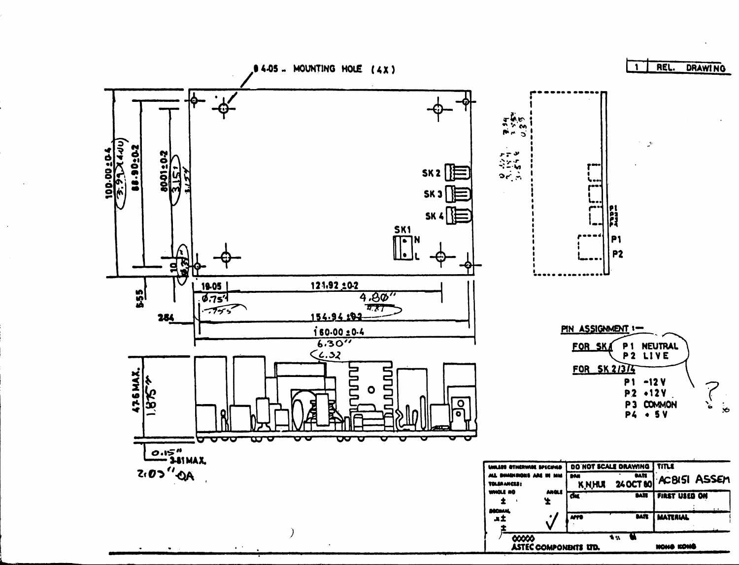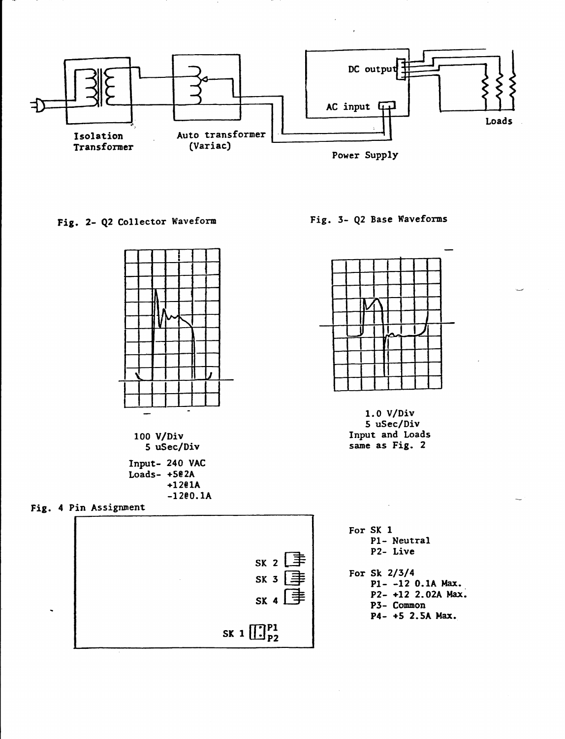

Fig. 2- Q2 Collector Waveform



100 V/Div 5 uSec/Div Input- 240 VAC

Loads-  $+502A$  $+1201A$  $-1200.1A$ 

Fig. 4 Pin Assignment



Fig. 3- Q2 Base Waveforms



 $1.0 V/Div$ 5 uSec/Div Input and Loads same as Fig. 2

For SK 1 P1- Neutral P2- Live

For Sk  $2/3/4$ P1--12 0.1A Max. P2- +12 2.02A Max. P3- Common P4- +5 2.5A Max.